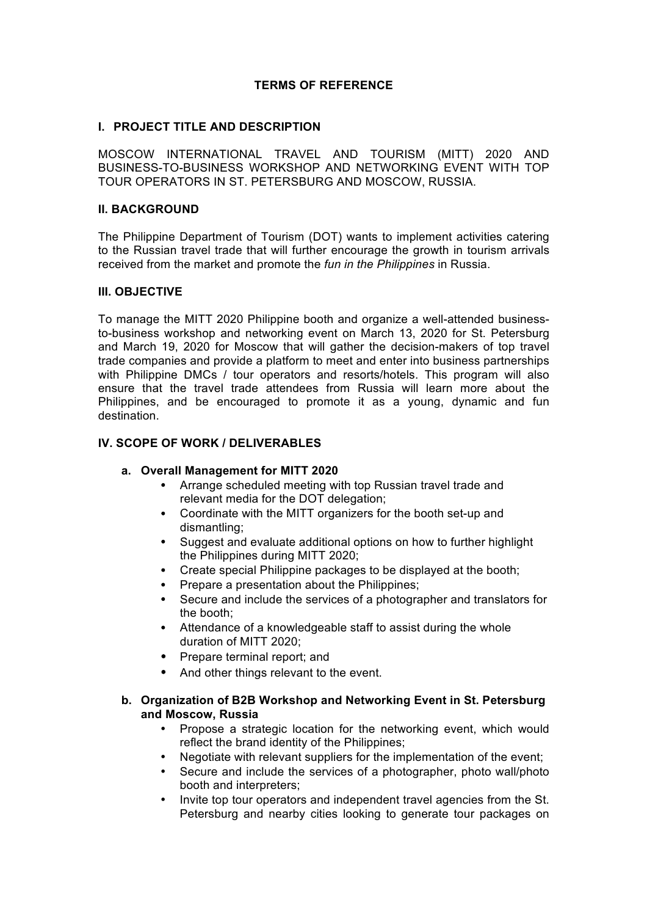# **TERMS OF REFERENCE**

### **I. PROJECT TITLE AND DESCRIPTION**

MOSCOW INTERNATIONAL TRAVEL AND TOURISM (MITT) 2020 AND BUSINESS-TO-BUSINESS WORKSHOP AND NETWORKING EVENT WITH TOP TOUR OPERATORS IN ST. PETERSBURG AND MOSCOW, RUSSIA.

#### **II. BACKGROUND**

The Philippine Department of Tourism (DOT) wants to implement activities catering to the Russian travel trade that will further encourage the growth in tourism arrivals received from the market and promote the *fun in the Philippines* in Russia.

#### **III. OBJECTIVE**

To manage the MITT 2020 Philippine booth and organize a well-attended businessto-business workshop and networking event on March 13, 2020 for St. Petersburg and March 19, 2020 for Moscow that will gather the decision-makers of top travel trade companies and provide a platform to meet and enter into business partnerships with Philippine DMCs / tour operators and resorts/hotels. This program will also ensure that the travel trade attendees from Russia will learn more about the Philippines, and be encouraged to promote it as a young, dynamic and fun destination.

### **IV. SCOPE OF WORK / DELIVERABLES**

#### **a. Overall Management for MITT 2020**

- Arrange scheduled meeting with top Russian travel trade and relevant media for the DOT delegation;
- Coordinate with the MITT organizers for the booth set-up and dismantling;
- Suggest and evaluate additional options on how to further highlight the Philippines during MITT 2020;
- Create special Philippine packages to be displayed at the booth;
- Prepare a presentation about the Philippines;
- Secure and include the services of a photographer and translators for the booth;
- Attendance of a knowledgeable staff to assist during the whole duration of MITT 2020;
- Prepare terminal report; and
- And other things relevant to the event.

# **b. Organization of B2B Workshop and Networking Event in St. Petersburg and Moscow, Russia**

- Propose a strategic location for the networking event, which would reflect the brand identity of the Philippines;
- Negotiate with relevant suppliers for the implementation of the event;
- Secure and include the services of a photographer, photo wall/photo booth and interpreters;
- Invite top tour operators and independent travel agencies from the St. Petersburg and nearby cities looking to generate tour packages on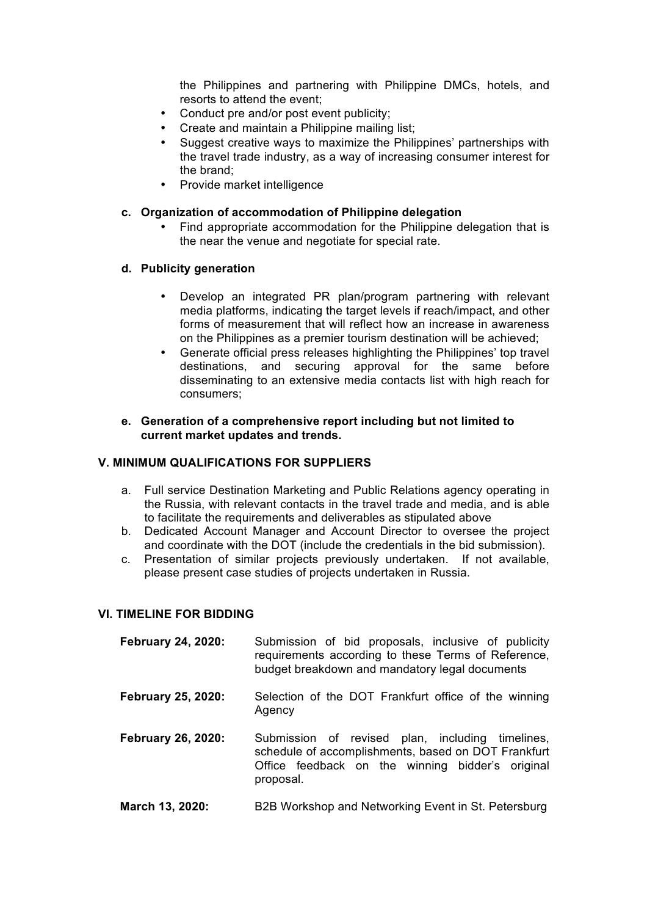the Philippines and partnering with Philippine DMCs, hotels, and resorts to attend the event;

- Conduct pre and/or post event publicity;
- Create and maintain a Philippine mailing list;
- Suggest creative ways to maximize the Philippines' partnerships with the travel trade industry, as a way of increasing consumer interest for the brand;
- Provide market intelligence

#### **c. Organization of accommodation of Philippine delegation**

• Find appropriate accommodation for the Philippine delegation that is the near the venue and negotiate for special rate.

### **d. Publicity generation**

- Develop an integrated PR plan/program partnering with relevant media platforms, indicating the target levels if reach/impact, and other forms of measurement that will reflect how an increase in awareness on the Philippines as a premier tourism destination will be achieved;
- Generate official press releases highlighting the Philippines' top travel destinations, and securing approval for the same before disseminating to an extensive media contacts list with high reach for consumers;
- **e. Generation of a comprehensive report including but not limited to current market updates and trends.**

#### **V. MINIMUM QUALIFICATIONS FOR SUPPLIERS**

- a. Full service Destination Marketing and Public Relations agency operating in the Russia, with relevant contacts in the travel trade and media, and is able to facilitate the requirements and deliverables as stipulated above
- b. Dedicated Account Manager and Account Director to oversee the project and coordinate with the DOT (include the credentials in the bid submission).
- c. Presentation of similar projects previously undertaken. If not available, please present case studies of projects undertaken in Russia.

### **VI. TIMELINE FOR BIDDING**

| February 24, 2020:        | Submission of bid proposals, inclusive of publicity<br>requirements according to these Terms of Reference,<br>budget breakdown and mandatory legal documents             |
|---------------------------|--------------------------------------------------------------------------------------------------------------------------------------------------------------------------|
| <b>February 25, 2020:</b> | Selection of the DOT Frankfurt office of the winning<br>Agency                                                                                                           |
| <b>February 26, 2020:</b> | Submission of revised plan, including timelines,<br>schedule of accomplishments, based on DOT Frankfurt<br>Office feedback on the winning bidder's original<br>proposal. |

**March 13, 2020:** B2B Workshop and Networking Event in St. Petersburg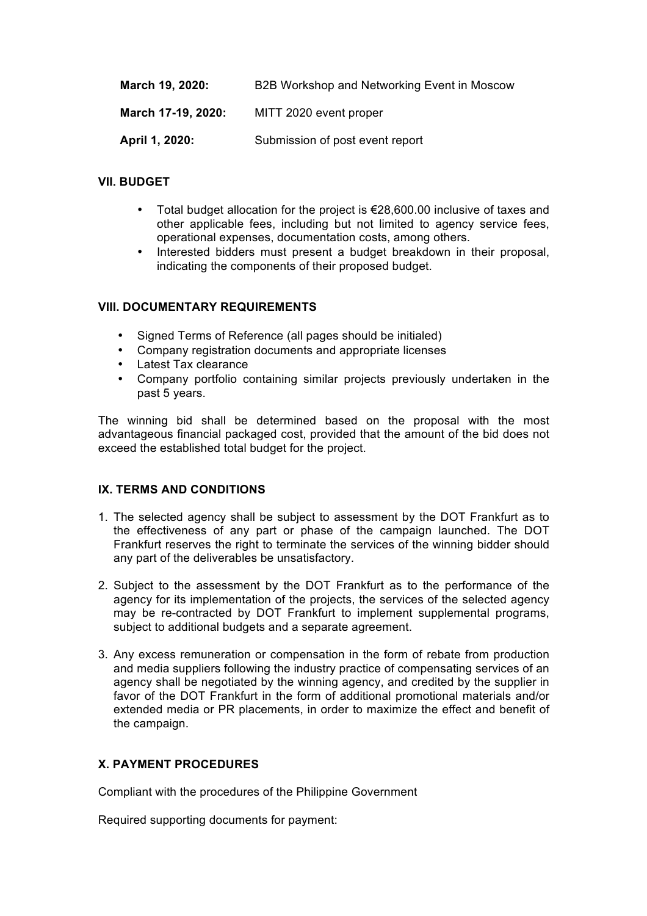| March 19, 2020:    | B2B Workshop and Networking Event in Moscow |
|--------------------|---------------------------------------------|
| March 17-19, 2020: | MITT 2020 event proper                      |
| April 1, 2020:     | Submission of post event report             |

# **VII. BUDGET**

- Total budget allocation for the project is €28,600.00 inclusive of taxes and other applicable fees, including but not limited to agency service fees, operational expenses, documentation costs, among others.
- Interested bidders must present a budget breakdown in their proposal. indicating the components of their proposed budget.

### **VIII. DOCUMENTARY REQUIREMENTS**

- Signed Terms of Reference (all pages should be initialed)
- Company registration documents and appropriate licenses
- Latest Tax clearance
- Company portfolio containing similar projects previously undertaken in the past 5 years.

The winning bid shall be determined based on the proposal with the most advantageous financial packaged cost, provided that the amount of the bid does not exceed the established total budget for the project.

# **IX. TERMS AND CONDITIONS**

- 1. The selected agency shall be subject to assessment by the DOT Frankfurt as to the effectiveness of any part or phase of the campaign launched. The DOT Frankfurt reserves the right to terminate the services of the winning bidder should any part of the deliverables be unsatisfactory.
- 2. Subject to the assessment by the DOT Frankfurt as to the performance of the agency for its implementation of the projects, the services of the selected agency may be re-contracted by DOT Frankfurt to implement supplemental programs, subject to additional budgets and a separate agreement.
- 3. Any excess remuneration or compensation in the form of rebate from production and media suppliers following the industry practice of compensating services of an agency shall be negotiated by the winning agency, and credited by the supplier in favor of the DOT Frankfurt in the form of additional promotional materials and/or extended media or PR placements, in order to maximize the effect and benefit of the campaign.

# **X. PAYMENT PROCEDURES**

Compliant with the procedures of the Philippine Government

Required supporting documents for payment: